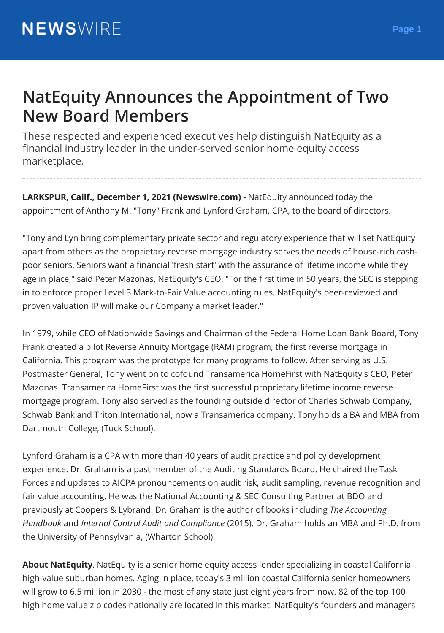## **NatEquity Announces the Appointment of Two New Board Members**

These respected and experienced executives help distinguish NatEquity as a financial industry leader in the under-served senior home equity access marketplace.

**LARKSPUR, Calif., December 1, 2021 (Newswire.com) -** NatEquity announced today the appointment of Anthony M. "Tony" Frank and Lynford Graham, CPA, to the board of directors.

"Tony and Lyn bring complementary private sector and regulatory experience that will set NatEquity apart from others as the proprietary reverse mortgage industry serves the needs of house-rich cashpoor seniors. Seniors want a financial 'fresh start' with the assurance of lifetime income while they age in place," said Peter Mazonas, NatEquity's CEO. "For the first time in 50 years, the SEC is stepping in to enforce proper Level 3 Mark-to-Fair Value accounting rules. NatEquity's peer-reviewed and proven valuation IP will make our Company a market leader."

In 1979, while CEO of Nationwide Savings and Chairman of the Federal Home Loan Bank Board, Tony Frank created a pilot Reverse Annuity Mortgage (RAM) program, the first reverse mortgage in California. This program was the prototype for many programs to follow. After serving as U.S. Postmaster General, Tony went on to cofound Transamerica HomeFirst with NatEquity's CEO, Peter Mazonas. Transamerica HomeFirst was the first successful proprietary lifetime income reverse mortgage program. Tony also served as the founding outside director of Charles Schwab Company, Schwab Bank and Triton International, now a Transamerica company. Tony holds a BA and MBA from Dartmouth College, (Tuck School).

Lynford Graham is a CPA with more than 40 years of audit practice and policy development experience. Dr. Graham is a past member of the Auditing Standards Board. He chaired the Task Forces and updates to AICPA pronouncements on audit risk, audit sampling, revenue recognition and fair value accounting. He was the National Accounting & SEC Consulting Partner at BDO and previously at Coopers & Lybrand. Dr. Graham is the author of books including *The Accounting Handbook* and *Internal Control Audit and Compliance* (2015). Dr. Graham holds an MBA and Ph.D. from the University of Pennsylvania, (Wharton School).

**About NatEquity**. NatEquity is a senior home equity access lender specializing in coastal California high-value suburban homes. Aging in place, today's 3 million coastal California senior homeowners will grow to 6.5 million in 2030 - the most of any state just eight years from now. 82 of the top 100 high home value zip codes nationally are located in this market. NatEquity's founders and managers